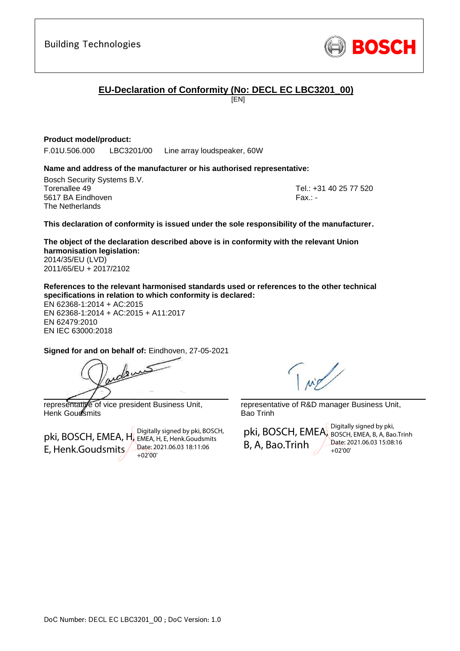## **EU-Declaration of Conformity (No: DECL EC LBC3201\_00)**

[EN]

## **Product model/product:**

F.01U.506.000 LBC3201/00 Line array loudspeaker, 60W

### **Name and address of the manufacturer or his authorised representative:**

Bosch Security Systems B.V. Torenallee 49 Tel.: +31 40 25 77 520 5617 BA Eindhoven Fax.: - Fax.: - Fax.: - Fax.: - Fax.: - Fax.: -The Netherlands

<span id="page-0-1"></span><span id="page-0-0"></span>

**This declaration of conformity is issued under the sole responsibility of the manufacturer.**

<span id="page-0-2"></span>**The object of the declaration described above is in conformity with the relevant Union harmonisation legislation:** 2014/35/EU (LVD)

2011/65/EU + 2017/2102

**References to the relevant harmonised standards used or references to the other technical specifications in relation to which conformity is declared:**

EN 62368-1:2014 + AC:2015 EN 62368-1:2014 + AC:2015 + A11:2017 EN 62479:2010 EN IEC 63000:2018

<span id="page-0-7"></span><span id="page-0-6"></span><span id="page-0-5"></span><span id="page-0-4"></span>**Signed for and on behalf of:** Eindhoven, 27-05-2021

\_\_\_\_\_\_\_\_\_\_\_\_\_\_\_\_\_\_\_\_\_\_\_\_\_\_\_\_\_\_\_\_\_\_\_\_\_\_\_\_\_\_\_ representative of vice president Business Unit,

Henk Goudsmits

pki, BOSCH, EMEA, H, EMEA, H, E, Henk.Goudsmits E, Henk.Goudsmits

Digitally signed by pki, BOSCH, Date: 2021.06.03 18:11:06 +02'00'

representative of R&D manager Business Unit, Bao Trinh

pki, BOSCH, EMEA, BOSCH, EMEA, B, A, Bao.Trinh B, A, Bao.Trinh Digitally signed by pki, Date: 2021.06.03 15:08:16  $+02'00'$ 

<span id="page-0-3"></span>dens



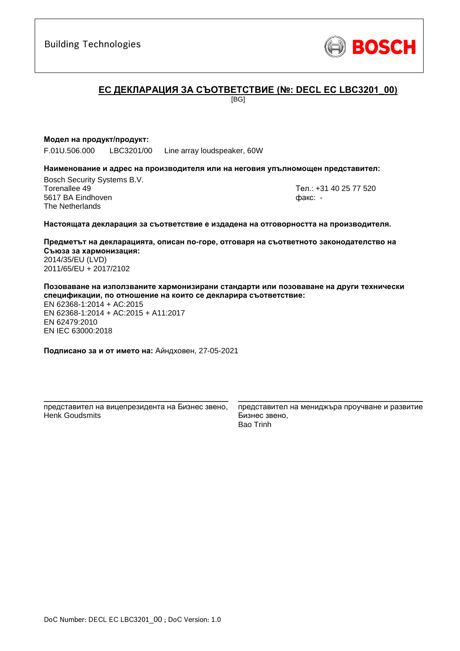

## **ЕC ДЕКЛАРАЦИЯ ЗА СЪОТВЕТСТВИЕ (№: DECL EC LBC3201\_00)**

[BG]

#### **Модел на продукт/продукт:**

F.01U.506.000 LBC3201/00 Line array loudspeaker, 60W

#### **Наименование и адрес на производителя или на неговия упълномощен представител:**

Bosch Security Systems B.V. Torenallee 49 Тел.: [+31 40 25 77 520](#page-0-0) 5617 BA Eindhoven факс: [-](#page-0-1) The Netherlands

#### **Настоящата декларация за съответствие е издадена на отговорността на производителя.**

**Предметът на декларацията, описан по-горе, отговаря на съответното законодателство на Съюза за хармонизация[:](#page-0-2)** [2014/35/EU \(LVD\)](#page-0-2) [2011/65/EU + 2017/2102](#page-0-2)

**Позоваване на използваните хармонизирани стандарти или позоваване на други технически спецификации, по отношение на които се декларира съответствие:**

EN 62368-1:2014 + AC:2015 EN 62368-1:2014 + AC:2015 + A11:2017 EN 62479:2010 EN IEC 63000:201[8](#page-0-3)

**Подписано за и от името на:** Айндховен, 27-05-2021

\_\_\_\_\_\_\_\_\_\_\_\_\_\_\_\_\_\_\_\_\_\_\_\_\_\_\_\_\_\_\_\_\_\_\_\_\_\_\_\_\_\_\_ представител на вицепрезидента на Бизнес звено, Henk Goudsmits

представител на мениджъра проучване и развитие Бизнес звено, Bao Trinh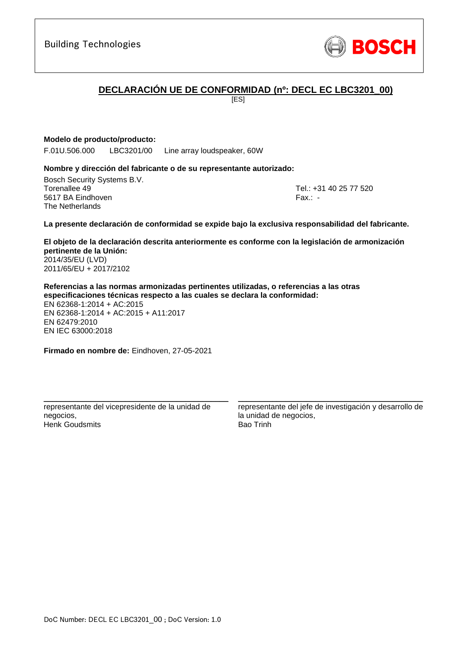## **DECLARACIÓN UE DE CONFORMIDAD (nº: DECL EC LBC3201\_00)**

[ES]

### **Modelo de producto/producto:**

F.01U.506.000 LBC3201/00 Line array loudspeaker, 60W

#### **Nombre y dirección del fabricante o de su representante autorizado:**

Bosch Security Systems B.V. Torenallee 49 Tel.: [+31 40 25 77 520](#page-0-0) 5617 BA Eindhoven Fax.: [-](#page-0-1) The Netherlands

#### **La presente declaración de conformidad se expide bajo la exclusiva responsabilidad del fabricante.**

**El objeto de la declaración descrita anteriormente es conforme con la legislación de armonización pertinente de la Unión[:](#page-0-2)** [2014/35/EU \(LVD\)](#page-0-2) [2011/65/EU + 2017/2102](#page-0-2)

**Referencias a las normas armonizadas pertinentes utilizadas, o referencias a las otras especificaciones técnicas respecto a las cuales se declara la conformidad:** EN 62368-1:2014 + AC:2015

EN 62368-1:2014 + AC:2015 + A11:2017 EN 62479:2010 EN IEC 63000:201[8](#page-0-3)

**Firmado en nombre de:** Eindhoven, 27-05-2021

\_\_\_\_\_\_\_\_\_\_\_\_\_\_\_\_\_\_\_\_\_\_\_\_\_\_\_\_\_\_\_\_\_\_\_\_\_\_\_\_\_\_\_ representante del vicepresidente de la unidad de negocios, Henk Goudsmits

representante del jefe de investigación y desarrollo de la unidad de negocios, Bao Trinh

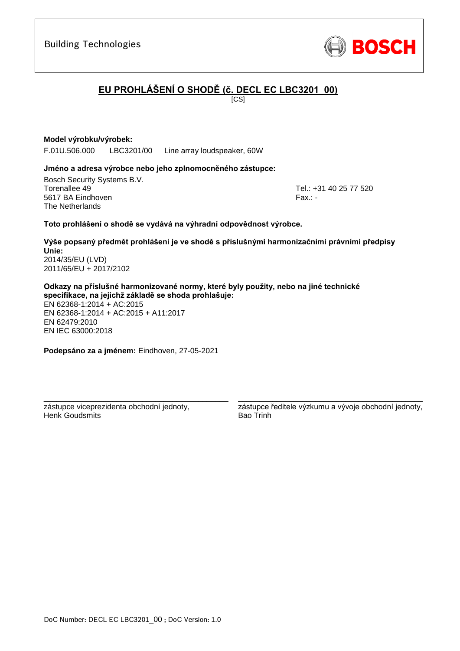DoC Number: DECL EC LBC3201\_00 ; DoC Version: 1.0

## Building Technologies

# **EU PROHLÁŠENÍ O SHODĚ (č. DECL EC LBC3201\_00)**

 $\overline{IC}$ SI

## **Model výrobku/výrobek:**

F.01U.506.000 LBC3201/00 Line array loudspeaker, 60W

## **Jméno a adresa výrobce nebo jeho zplnomocněného zástupce:**

Bosch Security Systems B.V. Torenallee 49 Tel.: [+31 40 25 77 520](#page-0-0) 5617 BA Eindhoven Fax.: [-](#page-0-1) Fax.: - Fax.: - Fax.: - Fax.: -The Netherlands

## **Toto prohlášení o shodě se vydává na výhradní odpovědnost výrobce.**

**Výše popsaný předmět prohlášení je ve shodě s příslušnými harmonizačními právními předpisy Unie[:](#page-0-2)** [2014/35/EU \(LVD\)](#page-0-2) [2011/65/EU + 2017/2102](#page-0-2)

**Odkazy na příslušné harmonizované normy, které byly použity, nebo na jiné technické specifikace, na jejichž základě se shoda prohlašuje:**

EN 62368-1:2014 + AC:2015 EN 62368-1:2014 + AC:2015 + A11:2017 EN 62479:2010 EN IEC 63000:201[8](#page-0-3)

**Podepsáno za a jménem:** Eindhoven, 27-05-2021

\_\_\_\_\_\_\_\_\_\_\_\_\_\_\_\_\_\_\_\_\_\_\_\_\_\_\_\_\_\_\_\_\_\_\_\_\_\_\_\_\_\_\_

zástupce viceprezidenta obchodní jednoty, Henk Goudsmits

\_\_\_\_\_\_\_\_\_\_\_\_\_\_\_\_\_\_\_\_\_\_\_\_\_\_\_\_\_\_\_\_\_\_\_\_\_\_\_\_\_\_\_ zástupce ředitele výzkumu a vývoje obchodní jednoty, Bao Trinh

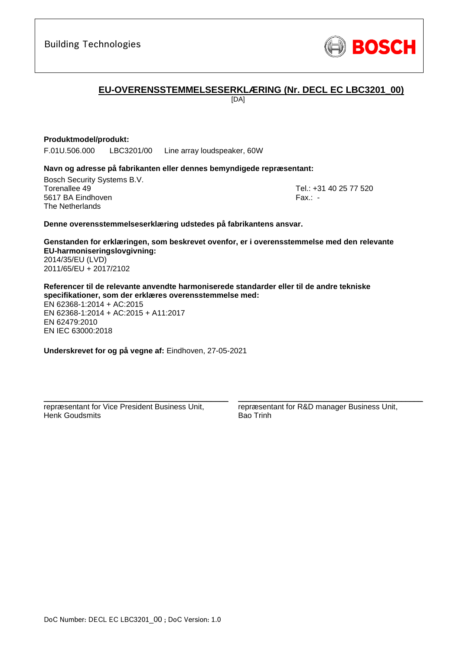

## **EU-OVERENSSTEMMELSESERKLÆRING (Nr. DECL EC LBC3201\_00)**

[DA]

### **Produktmodel/produkt:**

F.01U.506.000 LBC3201/00 Line array loudspeaker, 60W

#### **Navn og adresse på fabrikanten eller dennes bemyndigede repræsentant:**

Bosch Security Systems B.V. Torenallee 49 Tel.: [+31 40 25 77 520](#page-0-0) 5617 BA Eindhoven Fax.: [-](#page-0-1) Fax.: - Fax.: - Fax.: - Fax.: -The Netherlands

#### **Denne overensstemmelseserklæring udstedes på fabrikantens ansvar.**

**Genstanden for erklæringen, som beskrevet ovenfor, er i overensstemmelse med den relevante EU-harmoniseringslovgivning[:](#page-0-2)** [2014/35/EU \(LVD\)](#page-0-2) [2011/65/EU + 2017/2102](#page-0-2)

**Referencer til de relevante anvendte harmoniserede standarder eller til de andre tekniske specifikationer, som der erklæres overensstemmelse med:**

EN 62368-1:2014 + AC:2015 EN 62368-1:2014 + AC:2015 + A11:2017 EN 62479:2010 EN IEC 63000:201[8](#page-0-3)

**Underskrevet for og på vegne af:** Eindhoven, 27-05-2021

repræsentant for Vice President Business Unit, Henk Goudsmits

\_\_\_\_\_\_\_\_\_\_\_\_\_\_\_\_\_\_\_\_\_\_\_\_\_\_\_\_\_\_\_\_\_\_\_\_\_\_\_\_\_\_\_

repræsentant for R&D manager Business Unit, Bao Trinh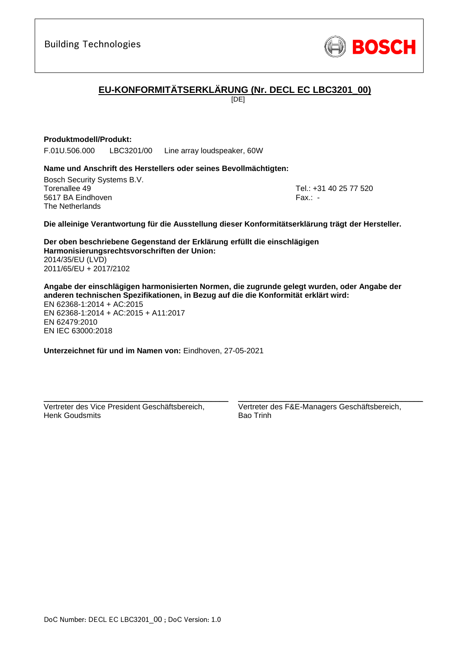

# **EU-KONFORMITÄTSERKLÄRUNG (Nr. DECL EC LBC3201\_00)**

[DE]

## **Produktmodell/Produkt:**

F.01U.506.000 LBC3201/00 Line array loudspeaker, 60W

### **Name und Anschrift des Herstellers oder seines Bevollmächtigten:**

Bosch Security Systems B.V. Torenallee 49 Tel.: [+31 40 25 77 520](#page-0-0) 5617 BA Eindhoven Fax.: [-](#page-0-1) The Netherlands

**Die alleinige Verantwortung für die Ausstellung dieser Konformitätserklärung trägt der Hersteller.**

**Der oben beschriebene Gegenstand der Erklärung erfüllt die einschlägigen Harmonisierungsrechtsvorschriften der Union[:](#page-0-2)** [2014/35/EU \(LVD\)](#page-0-2) [2011/65/EU + 2017/2102](#page-0-2)

**Angabe der einschlägigen harmonisierten Normen, die zugrunde gelegt wurden, oder Angabe der anderen technischen Spezifikationen, in Bezug auf die die Konformität erklärt wird:** EN 62368-1:2014 + AC:2015 EN 62368-1:2014 + AC:2015 + A11:2017 EN 62479:2010 EN IEC 63000:201[8](#page-0-3)

**Unterzeichnet für und im Namen von:** Eindhoven, 27-05-2021

Vertreter des Vice President Geschäftsbereich, Henk Goudsmits

\_\_\_\_\_\_\_\_\_\_\_\_\_\_\_\_\_\_\_\_\_\_\_\_\_\_\_\_\_\_\_\_\_\_\_\_\_\_\_\_\_\_\_

Vertreter des F&E-Managers Geschäftsbereich, Bao Trinh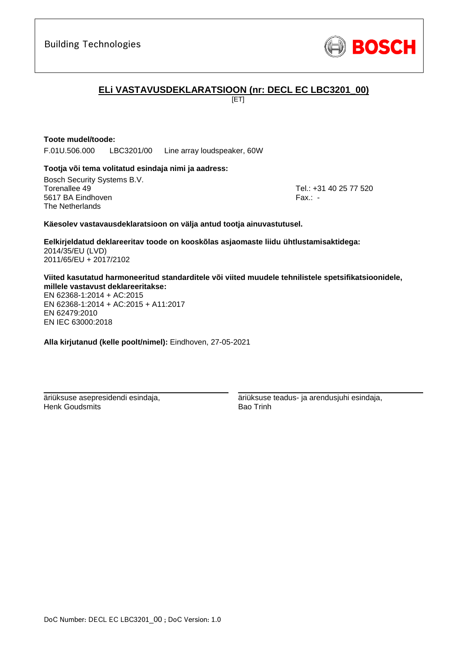

## **ELi VASTAVUSDEKLARATSIOON (nr: DECL EC LBC3201\_00)**

[ET]

## **Toote mudel/toode:**

F.01U.506.000 LBC3201/00 Line array loudspeaker, 60W

### **Tootja või tema volitatud esindaja nimi ja aadress:**

Bosch Security Systems B.V. Torenallee 49 Tel.: [+31 40 25 77 520](#page-0-0) 5617 BA Eindhoven Fax.: [-](#page-0-1) The Netherlands

### **Käesolev vastavausdeklaratsioon on välja antud tootja ainuvastutusel.**

**Eelkirjeldatud deklareeritav toode on kooskõlas asjaomaste liidu ühtlustamisaktidega[:](#page-0-2)** [2014/35/EU \(LVD\)](#page-0-2) [2011/65/EU + 2017/2102](#page-0-2)

**Viited kasutatud harmoneeritud standarditele või viited muudele tehnilistele spetsifikatsioonidele, millele vastavust deklareeritakse:**

EN 62368-1:2014 + AC:2015 EN 62368-1:2014 + AC:2015 + A11:2017 EN 62479:2010 [E](#page-0-4)[N](#page-0-5) [I](#page-0-6)[E](#page-0-7)C 63000:201[8](#page-0-3)

**Alla kirjutanud (kelle poolt/nimel):** Eindhoven, 27-05-2021

\_\_\_\_\_\_\_\_\_\_\_\_\_\_\_\_\_\_\_\_\_\_\_\_\_\_\_\_\_\_\_\_\_\_\_\_\_\_\_\_\_\_\_

äriüksuse asepresidendi esindaja, Henk Goudsmits

äriüksuse teadus- ja arendusjuhi esindaja, Bao Trinh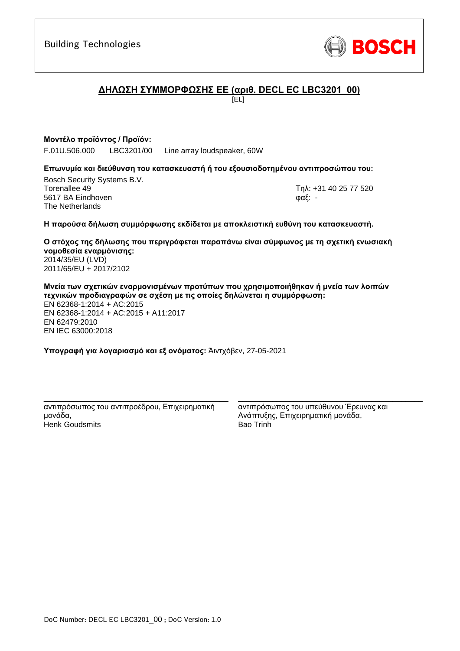

## **ΔΗΛΩΣΗ ΣΥΜΜΟΡΦΩΣΗΣ ΕΕ (αριθ. DECL EC LBC3201\_00)**

[EL]

## **Μοντέλο προϊόντος / Προϊόν:**

F.01U.506.000 LBC3201/00 Line array loudspeaker, 60W

## **Επωνυμία και διεύθυνση του κατασκευαστή ή του εξουσιοδοτημένου αντιπροσώπου του:**

Bosch Security Systems B.V. Torenallee 49 Τηλ: [+31 40 25 77 520](#page-0-0) 5617 BA Eindhoven φαξ: [-](#page-0-1) The Netherlands

#### **Η παρούσα δήλωση συμμόρφωσης εκδίδεται με αποκλειστική ευθύνη του κατασκευαστή.**

**Ο στόχος της δήλωσης που περιγράφεται παραπάνω είναι σύμφωνος με τη σχετική ενωσιακή νομοθεσία εναρμόνισης[:](#page-0-2)** [2014/35/EU \(LVD\)](#page-0-2) [2011/65/EU + 2017/2102](#page-0-2)

**Μνεία των σχετικών εναρμονισμένων προτύπων που χρησιμοποιήθηκαν ή μνεία των λοιπών τεχνικών προδιαγραφών σε σχέση με τις οποίες δηλώνεται η συμμόρφωση:** EN 62368-1:2014 + AC:2015 EN 62368-1:2014 + AC:2015 + A11:2017 EN 62479:2010 EN IEC 63000:201[8](#page-0-3)

**Υπογραφή για λογαριασμό και εξ ονόματος:** Άιντχόβεν, 27-05-2021

\_\_\_\_\_\_\_\_\_\_\_\_\_\_\_\_\_\_\_\_\_\_\_\_\_\_\_\_\_\_\_\_\_\_\_\_\_\_\_\_\_\_\_ αντιπρόσωπος του αντιπροέδρου, Επιχειρηματική μονάδα, Henk Goudsmits

αντιπρόσωπος του υπεύθυνου Έρευνας και Ανάπτυξης, Επιχειρηματική μονάδα, Bao Trinh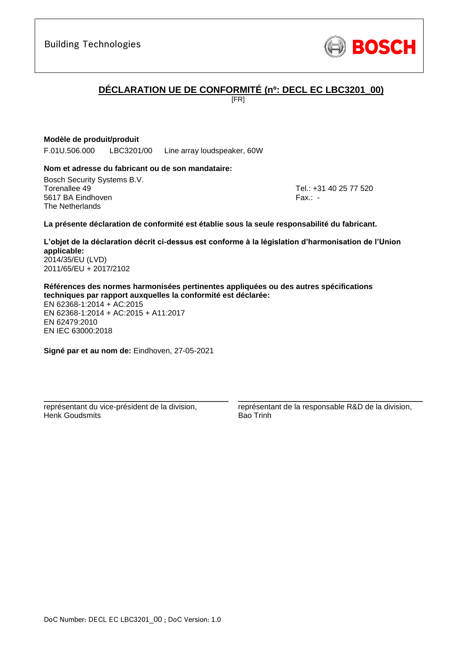## **DÉCLARATION UE DE CONFORMITÉ (nº: DECL EC LBC3201\_00)**

[FR]

## **Modèle de produit/produit**

F.01U.506.000 LBC3201/00 Line array loudspeaker, 60W

## **Nom et adresse du fabricant ou de son mandataire:**

Bosch Security Systems B.V. Torenallee 49 Tel.: [+31 40 25 77 520](#page-0-0) 5617 BA Eindhoven Fax.: [-](#page-0-1) The Netherlands

### **La présente déclaration de conformité est établie sous la seule responsabilité du fabricant.**

**L'objet de la déclaration décrit ci-dessus est conforme à la législation d'harmonisation de l'Union applicable[:](#page-0-2)** [2014/35/EU \(LVD\)](#page-0-2)

[2011/65/EU + 2017/2102](#page-0-2)

**Références des normes harmonisées pertinentes appliquées ou des autres spécifications techniques par rapport auxquelles la conformité est déclarée:**

EN 62368-1:2014 + AC:2015 EN 62368-1:2014 + AC:2015 + A11:2017 EN 62479:2010 EN IEC 63000:201[8](#page-0-3)

**Signé par et au nom de:** Eindhoven, 27-05-2021

\_\_\_\_\_\_\_\_\_\_\_\_\_\_\_\_\_\_\_\_\_\_\_\_\_\_\_\_\_\_\_\_\_\_\_\_\_\_\_\_\_\_\_

représentant du vice-président de la division, Henk Goudsmits

représentant de la responsable R&D de la division, Bao Trinh

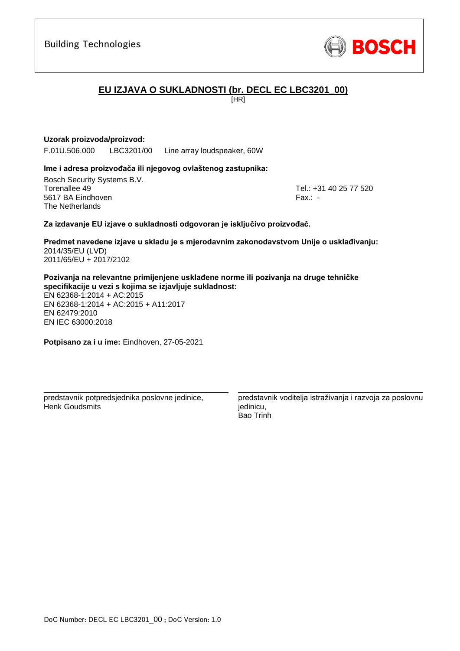# **EU IZJAVA O SUKLADNOSTI (br. DECL EC LBC3201\_00)**

[HR]

## **Uzorak proizvoda/proizvod:**

F.01U.506.000 LBC3201/00 Line array loudspeaker, 60W

## **Ime i adresa proizvođača ili njegovog ovlaštenog zastupnika:**

Bosch Security Systems B.V. Torenallee 49 Tel.: [+31 40 25 77 520](#page-0-0) 5617 BA Eindhoven Fax.: [-](#page-0-1) The Netherlands

### **Za izdavanje EU izjave o sukladnosti odgovoran je isključivo proizvođač.**

**Predmet navedene izjave u skladu je s mjerodavnim zakonodavstvom Unije o usklađivanju[:](#page-0-2)** [2014/35/EU \(LVD\)](#page-0-2) [2011/65/EU + 2017/2102](#page-0-2)

**Pozivanja na relevantne primijenjene usklađene norme ili pozivanja na druge tehničke specifikacije u vezi s kojima se izjavljuje sukladnost:**

EN 62368-1:2014 + AC:2015 EN 62368-1:2014 + AC:2015 + A11:2017 EN 62479:2010 [E](#page-0-4)[N](#page-0-5) [I](#page-0-6)[E](#page-0-7)C 63000:201[8](#page-0-3)

**Potpisano za i u ime:** Eindhoven, 27-05-2021

predstavnik potpredsjednika poslovne jedinice, Henk Goudsmits

\_\_\_\_\_\_\_\_\_\_\_\_\_\_\_\_\_\_\_\_\_\_\_\_\_\_\_\_\_\_\_\_\_\_\_\_\_\_\_\_\_\_\_

predstavnik voditelja istraživanja i razvoja za poslovnu iedinicu. Bao Trinh

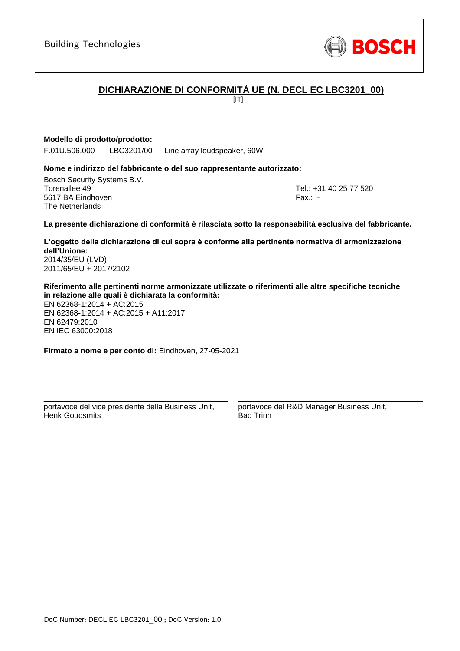

# **DICHIARAZIONE DI CONFORMITÀ UE (N. DECL EC LBC3201\_00)**

 $[IT]$ 

## **Modello di prodotto/prodotto:**

F.01U.506.000 LBC3201/00 Line array loudspeaker, 60W

#### **Nome e indirizzo del fabbricante o del suo rappresentante autorizzato:**

Bosch Security Systems B.V. Torenallee 49 Tel.: [+31 40 25 77 520](#page-0-0) 5617 BA Eindhoven Fax.: [-](#page-0-1) The Netherlands

**La presente dichiarazione di conformità è rilasciata sotto la responsabilità esclusiva del fabbricante.**

**L'oggetto della dichiarazione di cui sopra è conforme alla pertinente normativa di armonizzazione dell'Unione[:](#page-0-2)** [2014/35/EU \(LVD\)](#page-0-2)

[2011/65/EU + 2017/2102](#page-0-2)

**Riferimento alle pertinenti norme armonizzate utilizzate o riferimenti alle altre specifiche tecniche in relazione alle quali è dichiarata la conformità:**

EN 62368-1:2014 + AC:2015 EN 62368-1:2014 + AC:2015 + A11:2017 EN 62479:2010 EN IEC 63000:201[8](#page-0-3)

**Firmato a nome e per conto di:** Eindhoven, 27-05-2021

portavoce del vice presidente della Business Unit, Henk Goudsmits

\_\_\_\_\_\_\_\_\_\_\_\_\_\_\_\_\_\_\_\_\_\_\_\_\_\_\_\_\_\_\_\_\_\_\_\_\_\_\_\_\_\_\_

portavoce del R&D Manager Business Unit, Bao Trinh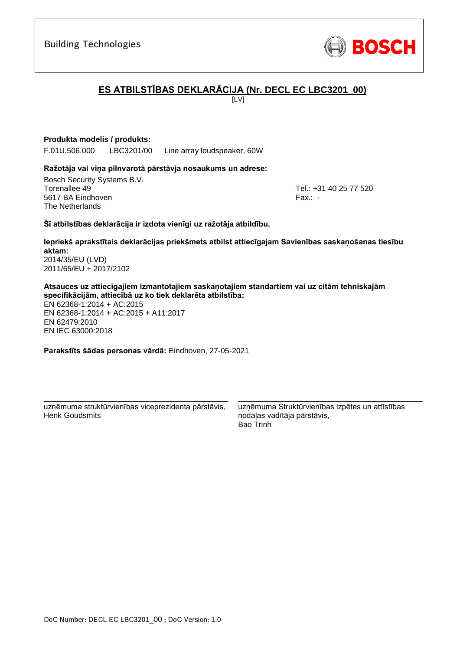# **ES ATBILSTĪBAS DEKLARĀCIJA (Nr. DECL EC LBC3201\_00)**

 $\overline{L}$ 

## **Produkta modelis / produkts:**

F.01U.506.000 LBC3201/00 Line array loudspeaker, 60W

## **Ražotāja vai viņa pilnvarotā pārstāvja nosaukums un adrese:**

Bosch Security Systems B.V. Torenallee 49 Tel.: [+31 40 25 77 520](#page-0-0) 5617 BA Eindhoven Fax.: [-](#page-0-1) The Netherlands

## **Šī atbilstības deklarācija ir izdota vienīgi uz ražotāja atbildību.**

**Iepriekš aprakstītais deklarācijas priekšmets atbilst attiecīgajam Savienības saskaņošanas tiesību aktam[:](#page-0-2)** [2014/35/EU \(LVD\)](#page-0-2)

[2011/65/EU + 2017/2102](#page-0-2)

**Atsauces uz attiecīgajiem izmantotajiem saskaņotajiem standartiem vai uz citām tehniskajām specifikācijām, attiecībā uz ko tiek deklarēta atbilstība:**

EN 62368-1:2014 + AC:2015 EN 62368-1:2014 + AC:2015 + A11:2017 EN 62479:2010 EN IEC 63000:201[8](#page-0-3)

**Parakstīts šādas personas vārdā:** Eindhoven, 27-05-2021

\_\_\_\_\_\_\_\_\_\_\_\_\_\_\_\_\_\_\_\_\_\_\_\_\_\_\_\_\_\_\_\_\_\_\_\_\_\_\_\_\_\_\_ uzņēmuma struktūrvienības viceprezidenta pārstāvis, Henk Goudsmits

uzņēmuma Struktūrvienības izpētes un attīstības nodaļas vadītāja pārstāvis, Bao Trinh

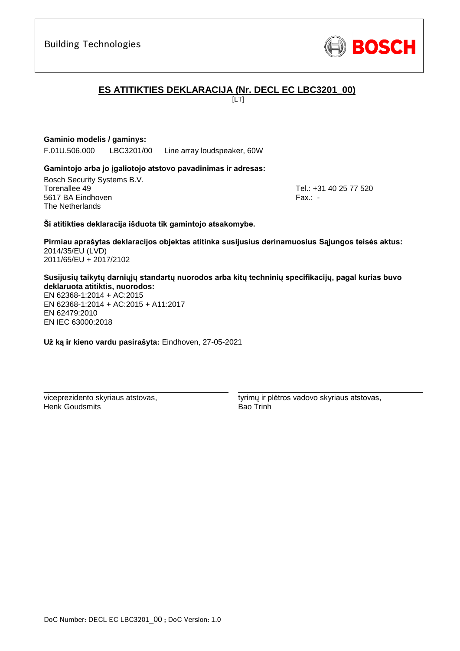# **ES ATITIKTIES DEKLARACIJA (Nr. DECL EC LBC3201\_00)**

 $\overline{L}$ 

## **Gaminio modelis / gaminys:**

F.01U.506.000 LBC3201/00 Line array loudspeaker, 60W

## **Gamintojo arba jo įgaliotojo atstovo pavadinimas ir adresas:**

Bosch Security Systems B.V. Torenallee 49 Tel.: [+31 40 25 77 520](#page-0-0) 5617 BA Eindhoven Fax.: [-](#page-0-1) The Netherlands

**Ši atitikties deklaracija išduota tik gamintojo atsakomybe.**

**Pirmiau aprašytas deklaracijos objektas atitinka susijusius derinamuosius Sąjungos teisės aktus[:](#page-0-2)** [2014/35/EU \(LVD\)](#page-0-2) [2011/65/EU + 2017/2102](#page-0-2)

**Susijusių taikytų darniųjų standartų nuorodos arba kitų techninių specifikacijų, pagal kurias buvo deklaruota atitiktis, nuorodos:**

EN 62368-1:2014 + AC:2015 EN 62368-1:2014 + AC:2015 + A11:2017 EN 62479:2010 [E](#page-0-4)[N](#page-0-5) [I](#page-0-6)[E](#page-0-7)C 63000:201[8](#page-0-3)

**Už ką ir kieno vardu pasirašyta:** Eindhoven, 27-05-2021

\_\_\_\_\_\_\_\_\_\_\_\_\_\_\_\_\_\_\_\_\_\_\_\_\_\_\_\_\_\_\_\_\_\_\_\_\_\_\_\_\_\_\_

viceprezidento skyriaus atstovas, Henk Goudsmits

tyrimų ir plėtros vadovo skyriaus atstovas, Bao Trinh

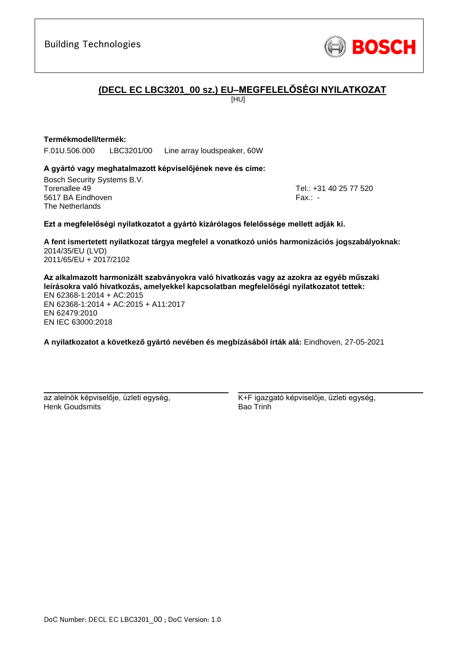

## **(DECL EC LBC3201\_00 sz.) EU–MEGFELELŐSÉGI NYILATKOZAT**

[HU]

## **Termékmodell/termék:**

F.01U.506.000 LBC3201/00 Line array loudspeaker, 60W

### **A gyártó vagy meghatalmazott képviselőjének neve és címe:**

Bosch Security Systems B.V. Torenallee 49 Tel.: [+31 40 25 77 520](#page-0-0) 5617 BA Eindhoven Fax.: [-](#page-0-1) The Netherlands

### **Ezt a megfelelőségi nyilatkozatot a gyártó kizárólagos felelőssége mellett adják ki.**

**A fent ismertetett nyilatkozat tárgya megfelel a vonatkozó uniós harmonizációs jogszabályoknak[:](#page-0-2)** [2014/35/EU \(LVD\)](#page-0-2) [2011/65/EU + 2017/2102](#page-0-2)

**Az alkalmazott harmonizált szabványokra való hivatkozás vagy az azokra az egyéb műszaki leírásokra való hivatkozás, amelyekkel kapcsolatban megfelelőségi nyilatkozatot tettek:** EN 62368-1:2014 + AC:2015 EN 62368-1:2014 + AC:2015 + A11:2017 EN 62479:2010 [E](#page-0-4)[N](#page-0-5) [IE](#page-0-6)[C](#page-0-7) 63000:201[8](#page-0-3)

**A nyilatkozatot a következő gyártó nevében és megbízásából írták alá:** Eindhoven, 27-05-2021

az alelnök képviselője, üzleti egység, Henk Goudsmits

\_\_\_\_\_\_\_\_\_\_\_\_\_\_\_\_\_\_\_\_\_\_\_\_\_\_\_\_\_\_\_\_\_\_\_\_\_\_\_\_\_\_\_

K+F igazgató képviselője, üzleti egység, Bao Trinh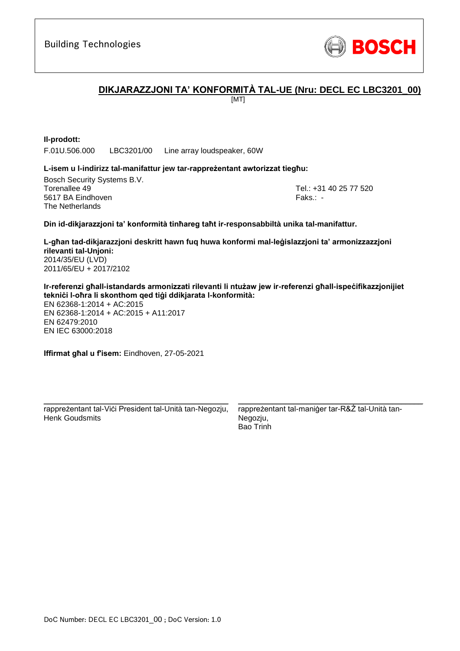

## **DIKJARAZZJONI TA' KONFORMITÀ TAL-UE (Nru: DECL EC LBC3201\_00)**

[MT]

## **Il-prodott:**

F.01U.506.000 LBC3201/00 Line array loudspeaker, 60W

### **L-isem u l-indirizz tal-manifattur jew tar-rappreżentant awtorizzat tiegħu:**

Bosch Security Systems B.V. Torenallee 49 Tel.: [+31 40 25 77 520](#page-0-0) 5617 BA Eindhoven Faks.[: -](#page-0-1) Faks.: - Faks.: - Faks.: - Faks.: -The Netherlands

### **Din id-dikjarazzjoni ta' konformità tinħareg taħt ir-responsabbiltà unika tal-manifattur.**

**L-għan tad-dikjarazzjoni deskritt hawn fuq huwa konformi mal-leġislazzjoni ta' armonizzazzjoni rilevanti tal-Unjoni[:](#page-0-2)** [2014/35/EU \(LVD\)](#page-0-2) [2011/65/EU + 2017/2102](#page-0-2)

**Ir-referenzi għall-istandards armonizzati rilevanti li ntużaw jew ir-referenzi għall-ispeċifikazzjonijiet tekniċi l-oħra li skonthom qed tiġi ddikjarata l-konformità:**

EN 62368-1:2014 + AC:2015 EN 62368-1:2014 + AC:2015 + A11:2017 EN 62479:2010 EN IEC 63000:201[8](#page-0-3)

**Iffirmat għal u f'isem:** Eindhoven, 27-05-2021

\_\_\_\_\_\_\_\_\_\_\_\_\_\_\_\_\_\_\_\_\_\_\_\_\_\_\_\_\_\_\_\_\_\_\_\_\_\_\_\_\_\_\_ rappreżentant tal-Viċi President tal-Unità tan-Negozju, Henk Goudsmits

rappreżentant tal-maniġer tar-R&Ż tal-Unità tan-Negozju, Bao Trinh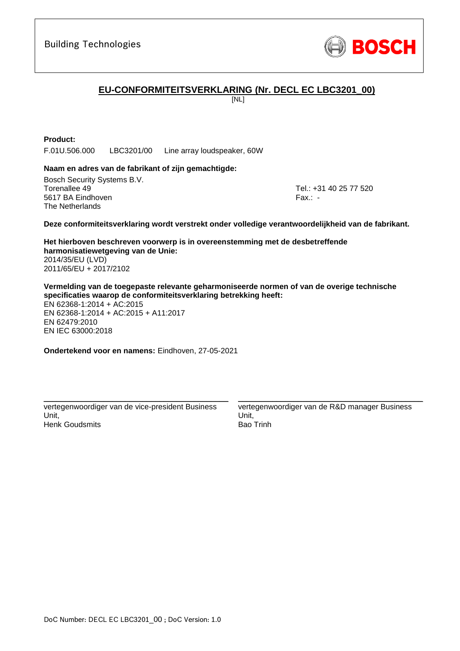

## **EU-CONFORMITEITSVERKLARING (Nr. DECL EC LBC3201\_00)**

[NL]

## **Product:**

F.01U.506.000 LBC3201/00 Line array loudspeaker, 60W

### **Naam en adres van de fabrikant of zijn gemachtigde:**

Bosch Security Systems B.V. Torenallee 49 Tel.: [+31 40 25 77 520](#page-0-0) 5617 BA Eindhoven Fax.: [-](#page-0-1) Fax.: - Fax.: - Fax.: - Fax.: -The Netherlands

#### **Deze conformiteitsverklaring wordt verstrekt onder volledige verantwoordelijkheid van de fabrikant.**

**Het hierboven beschreven voorwerp is in overeenstemming met de desbetreffende harmonisatiewetgeving van de Unie[:](#page-0-2)** [2014/35/EU \(LVD\)](#page-0-2) [2011/65/EU + 2017/2102](#page-0-2)

**Vermelding van de toegepaste relevante geharmoniseerde normen of van de overige technische specificaties waarop de conformiteitsverklaring betrekking heeft:**

EN 62368-1:2014 + AC:2015 EN 62368-1:2014 + AC:2015 + A11:2017 EN 62479:2010 EN IEC 63000:201[8](#page-0-3)

**Ondertekend voor en namens:** Eindhoven, 27-05-2021

vertegenwoordiger van de vice-president Business Unit, Henk Goudsmits

\_\_\_\_\_\_\_\_\_\_\_\_\_\_\_\_\_\_\_\_\_\_\_\_\_\_\_\_\_\_\_\_\_\_\_\_\_\_\_\_\_\_\_

vertegenwoordiger van de R&D manager Business Unit, Bao Trinh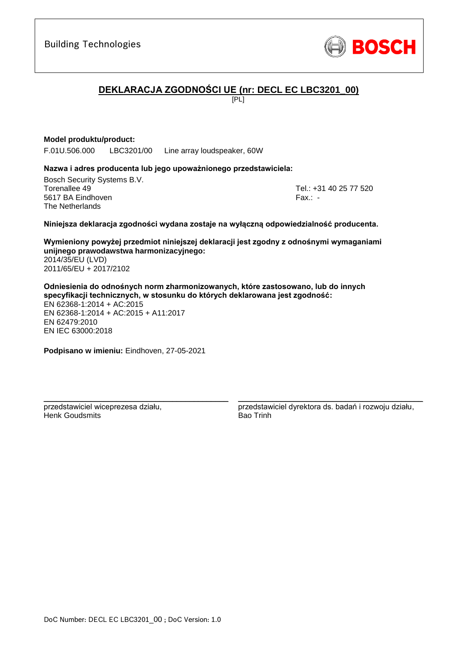

# **DEKLARACJA ZGODNOŚCI UE (nr: DECL EC LBC3201\_00)**

[PL]

## **Model produktu/product:**

F.01U.506.000 LBC3201/00 Line array loudspeaker, 60W

### **Nazwa i adres producenta lub jego upoważnionego przedstawiciela:**

Bosch Security Systems B.V. Torenallee 49 Tel.: [+31 40 25 77 520](#page-0-0) 5617 BA Eindhoven Fax.: [-](#page-0-1) The Netherlands

#### **Niniejsza deklaracja zgodności wydana zostaje na wyłączną odpowiedzialność producenta.**

**Wymieniony powyżej przedmiot niniejszej deklaracji jest zgodny z odnośnymi wymaganiami unijnego prawodawstwa harmonizacyjnego[:](#page-0-2)** [2014/35/EU \(LVD\)](#page-0-2)

[2011/65/EU + 2017/2102](#page-0-2)

**Odniesienia do odnośnych norm zharmonizowanych, które zastosowano, lub do innych specyfikacji technicznych, w stosunku do których deklarowana jest zgodność:** EN 62368-1:2014 + AC:2015 EN 62368-1:2014 + AC:2015 + A11:2017 EN 62479:2010 EN IEC 63000:201[8](#page-0-3)

**Podpisano w imieniu:** Eindhoven, 27-05-2021

\_\_\_\_\_\_\_\_\_\_\_\_\_\_\_\_\_\_\_\_\_\_\_\_\_\_\_\_\_\_\_\_\_\_\_\_\_\_\_\_\_\_\_

przedstawiciel wiceprezesa działu, Henk Goudsmits

przedstawiciel dyrektora ds. badań i rozwoju działu, Bao Trinh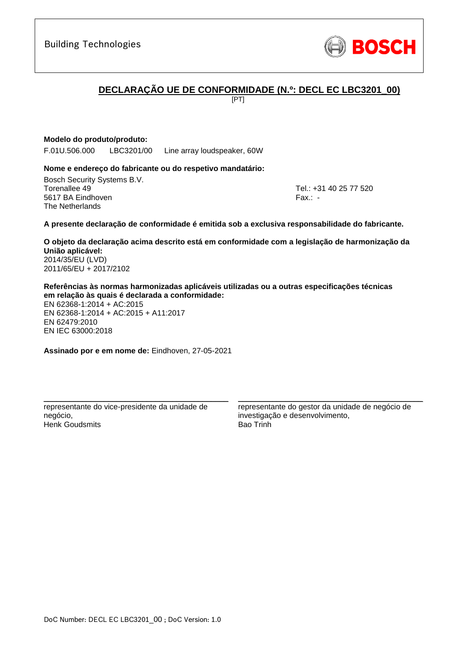## **DECLARAÇÃO UE DE CONFORMIDADE (N.º: DECL EC LBC3201\_00)**

[PT]

## **Modelo do produto/produto:**

F.01U.506.000 LBC3201/00 Line array loudspeaker, 60W

### **Nome e endereço do fabricante ou do respetivo mandatário:**

Bosch Security Systems B.V. Torenallee 49 Tel.: [+31 40 25 77 520](#page-0-0) 5617 BA Eindhoven Fax.: [-](#page-0-1) The Netherlands

#### **A presente declaração de conformidade é emitida sob a exclusiva responsabilidade do fabricante.**

**O objeto da declaração acima descrito está em conformidade com a legislação de harmonização da União aplicável[:](#page-0-2)** [2014/35/EU \(LVD\)](#page-0-2) [2011/65/EU + 2017/2102](#page-0-2)

**Referências às normas harmonizadas aplicáveis utilizadas ou a outras especificações técnicas em relação às quais é declarada a conformidade:** EN 62368-1:2014 + AC:2015

EN 62368-1:2014 + AC:2015 + A11:2017 EN 62479:2010 EN IEC 63000:201[8](#page-0-3)

**Assinado por e em nome de:** Eindhoven, 27-05-2021

\_\_\_\_\_\_\_\_\_\_\_\_\_\_\_\_\_\_\_\_\_\_\_\_\_\_\_\_\_\_\_\_\_\_\_\_\_\_\_\_\_\_\_

representante do vice-presidente da unidade de negócio, Henk Goudsmits

representante do gestor da unidade de negócio de investigação e desenvolvimento, Bao Trinh

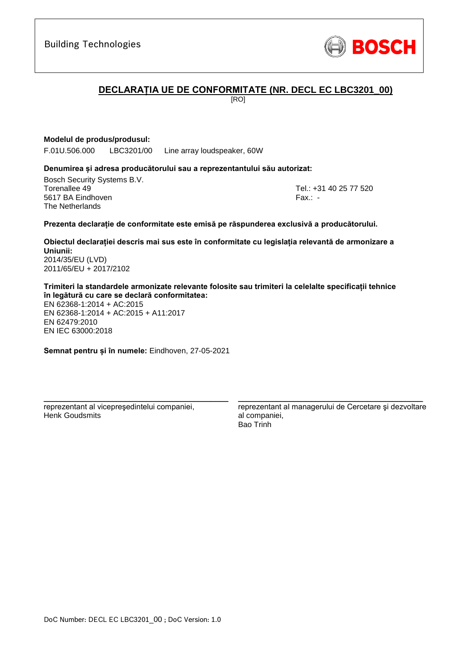## **DECLARAȚIA UE DE CONFORMITATE (NR. DECL EC LBC3201\_00)**

[RO]

## **Modelul de produs/produsul:**

F.01U.506.000 LBC3201/00 Line array loudspeaker, 60W

#### **Denumirea și adresa producătorului sau a reprezentantului său autorizat:**

Bosch Security Systems B.V. Torenallee 49 Tel.: [+31 40 25 77 520](#page-0-0) 5617 BA Eindhoven Fax.: [-](#page-0-1) Fax.: - Fax.: - Fax.: - Fax.: -The Netherlands

#### **Prezenta declarație de conformitate este emisă pe răspunderea exclusivă a producătorului.**

**Obiectul declarației descris mai sus este în conformitate cu legislația relevantă de armonizare a Uniunii[:](#page-0-2)** [2014/35/EU \(LVD\)](#page-0-2)

[2011/65/EU + 2017/2102](#page-0-2)

**Trimiteri la standardele armonizate relevante folosite sau trimiteri la celelalte specificații tehnice în legătură cu care se declară conformitatea:**

EN 62368-1:2014 + AC:2015 EN 62368-1:2014 + AC:2015 + A11:2017 EN 62479:2010 EN IEC 63000:201[8](#page-0-3)

**Semnat pentru și în numele:** Eindhoven, 27-05-2021

\_\_\_\_\_\_\_\_\_\_\_\_\_\_\_\_\_\_\_\_\_\_\_\_\_\_\_\_\_\_\_\_\_\_\_\_\_\_\_\_\_\_\_

reprezentant al vicepreşedintelui companiei, Henk Goudsmits

reprezentant al managerului de Cercetare şi dezvoltare al companiei, Bao Trinh

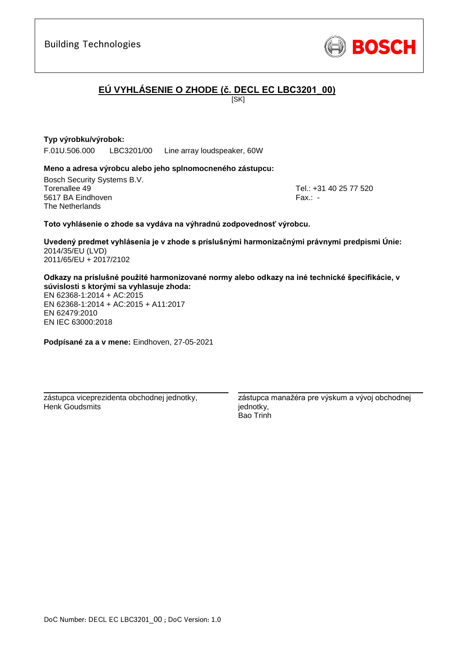### **Typ výrobku/výrobok:**

F.01U.506.000 LBC3201/00 Line array loudspeaker, 60W

#### **Meno a adresa výrobcu alebo jeho splnomocneného zástupcu:**

Bosch Security Systems B.V. Torenallee 49 Tel.: [+31 40 25 77 520](#page-0-0) 5617 BA Eindhoven Fax.: [-](#page-0-1) The Netherlands

#### **Toto vyhlásenie o zhode sa vydáva na výhradnú zodpovednosť výrobcu.**

**Uvedený predmet vyhlásenia je v zhode s príslušnými harmonizačnými právnymi predpismi Únie[:](#page-0-2)** [2014/35/EU \(LVD\)](#page-0-2) [2011/65/EU + 2017/2102](#page-0-2)

**EÚ VYHLÁSENIE O ZHODE (č. DECL EC LBC3201\_00)**

[SK]

#### **Odkazy na príslušné použité harmonizované normy alebo odkazy na iné technické špecifikácie, v súvislosti s ktorými sa vyhlasuje zhoda:**

EN 62368-1:2014 + AC:2015 EN 62368-1:2014 + AC:2015 + A11:2017 EN 62479:2010 [E](#page-0-4)[N](#page-0-5) [I](#page-0-6)[E](#page-0-7)C 63000:201[8](#page-0-3)

**Podpísané za a v mene:** Eindhoven, 27-05-2021

\_\_\_\_\_\_\_\_\_\_\_\_\_\_\_\_\_\_\_\_\_\_\_\_\_\_\_\_\_\_\_\_\_\_\_\_\_\_\_\_\_\_\_

zástupca viceprezidenta obchodnej jednotky, Henk Goudsmits

zástupca manažéra pre výskum a vývoj obchodnej jednotky, Bao Trinh

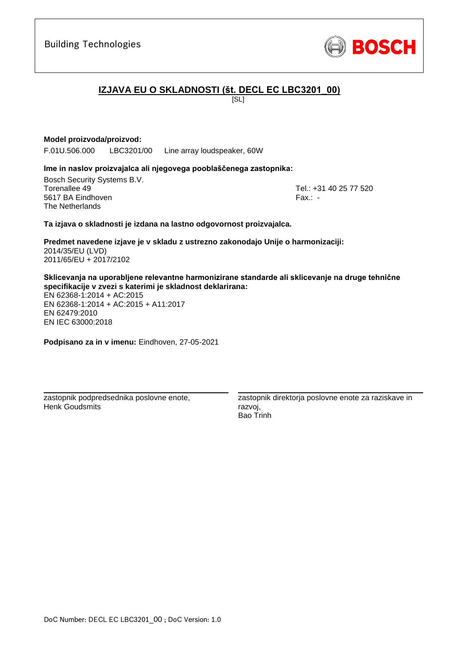# **IZJAVA EU O SKLADNOSTI (št. DECL EC LBC3201\_00)**

 $|S_L|$ 

## **Model proizvoda/proizvod:**

F.01U.506.000 LBC3201/00 Line array loudspeaker, 60W

## **Ime in naslov proizvajalca ali njegovega pooblaščenega zastopnika:**

Bosch Security Systems B.V. Torenallee 49 Tel.: [+31 40 25 77 520](#page-0-0) 5617 BA Eindhoven Fax.: [-](#page-0-1) The Netherlands

### **Ta izjava o skladnosti je izdana na lastno odgovornost proizvajalca.**

**Predmet navedene izjave je v skladu z ustrezno zakonodajo Unije o harmonizaciji[:](#page-0-2)** [2014/35/EU \(LVD\)](#page-0-2) [2011/65/EU + 2017/2102](#page-0-2)

**Sklicevanja na uporabljene relevantne harmonizirane standarde ali sklicevanje na druge tehnične specifikacije v zvezi s katerimi je skladnost deklarirana:**

EN 62368-1:2014 + AC:2015 EN 62368-1:2014 + AC:2015 + A11:2017 EN 62479:2010 [E](#page-0-4)[N](#page-0-5) [I](#page-0-6)[E](#page-0-7)C 63000:201[8](#page-0-3)

**Podpisano za in v imenu:** Eindhoven, 27-05-2021

\_\_\_\_\_\_\_\_\_\_\_\_\_\_\_\_\_\_\_\_\_\_\_\_\_\_\_\_\_\_\_\_\_\_\_\_\_\_\_\_\_\_\_

zastopnik podpredsednika poslovne enote, Henk Goudsmits

zastopnik direktorja poslovne enote za raziskave in razvoj, Bao Trinh

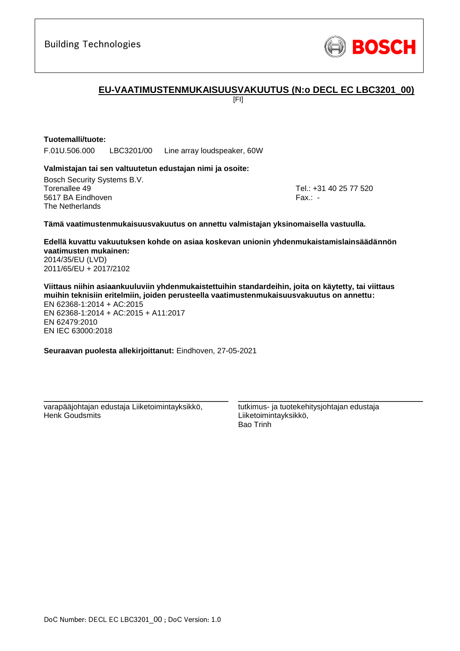

## **EU-VAATIMUSTENMUKAISUUSVAKUUTUS (N:o DECL EC LBC3201\_00)**

[FI]

## **Tuotemalli/tuote:**

F.01U.506.000 LBC3201/00 Line array loudspeaker, 60W

### **Valmistajan tai sen valtuutetun edustajan nimi ja osoite:**

Bosch Security Systems B.V. Torenallee 49 Tel.: [+31 40 25 77 520](#page-0-0) 5617 BA Eindhoven Fax.: [-](#page-0-1) The Netherlands

#### **Tämä vaatimustenmukaisuusvakuutus on annettu valmistajan yksinomaisella vastuulla.**

**Edellä kuvattu vakuutuksen kohde on asiaa koskevan unionin yhdenmukaistamislainsäädännön vaatimusten mukainen[:](#page-0-2)** [2014/35/EU \(LVD\)](#page-0-2)

[2011/65/EU + 2017/2102](#page-0-2)

**Viittaus niihin asiaankuuluviin yhdenmukaistettuihin standardeihin, joita on käytetty, tai viittaus muihin teknisiin eritelmiin, joiden perusteella vaatimustenmukaisuusvakuutus on annettu:** EN 62368-1:2014 + AC:2015 EN 62368-1:2014 + AC:2015 + A11:2017 EN 62479:2010 EN IEC 63000:201[8](#page-0-3)

**Seuraavan puolesta allekirjoittanut:** Eindhoven, 27-05-2021

varapääjohtajan edustaja Liiketoimintayksikkö, Henk Goudsmits

\_\_\_\_\_\_\_\_\_\_\_\_\_\_\_\_\_\_\_\_\_\_\_\_\_\_\_\_\_\_\_\_\_\_\_\_\_\_\_\_\_\_\_

tutkimus- ja tuotekehitysjohtajan edustaja Liiketoimintayksikkö, Bao Trinh